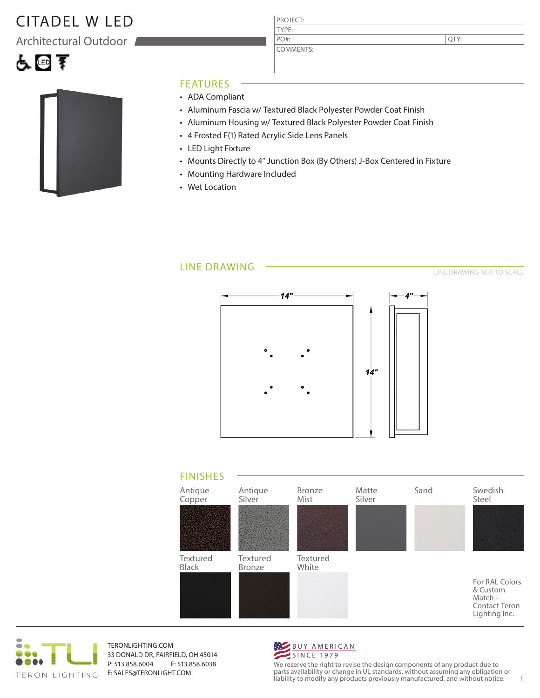## CITADEL W LED

Architectural Outdoor



#### FEATURES

- ADA Compliant
- Aluminum Fascia w/ Textured Black Polyester Powder Coat Finish

PROJECT: TYPE:

PO#:

COMMENTS:

- Aluminum Housing w/ Textured Black Polyester Powder Coat Finish
- 4 Frosted F(1) Rated Acrylic Side Lens Panels
- LED Light Fixture
- Mounts Directly to 4" Junction Box (By Others) J-Box Centered in Fixture
- Mounting Hardware Included
- Wet Location

### LINE DRAWING

LINE DRAWING NOT TO SCALE

QTY:







TERONLIGHTING.COM 33 DONALD DR, FAIRFIELD, OH 45014 P: 513.858.6004 F: 513.858.6038 E: SALES@TERONLIGHT.COM



We reserve the right to revise the design components of any product due to parts availability or change in UL standards, without assuming any obligation or liability to modify any products previously manufactured, and without notice. 1